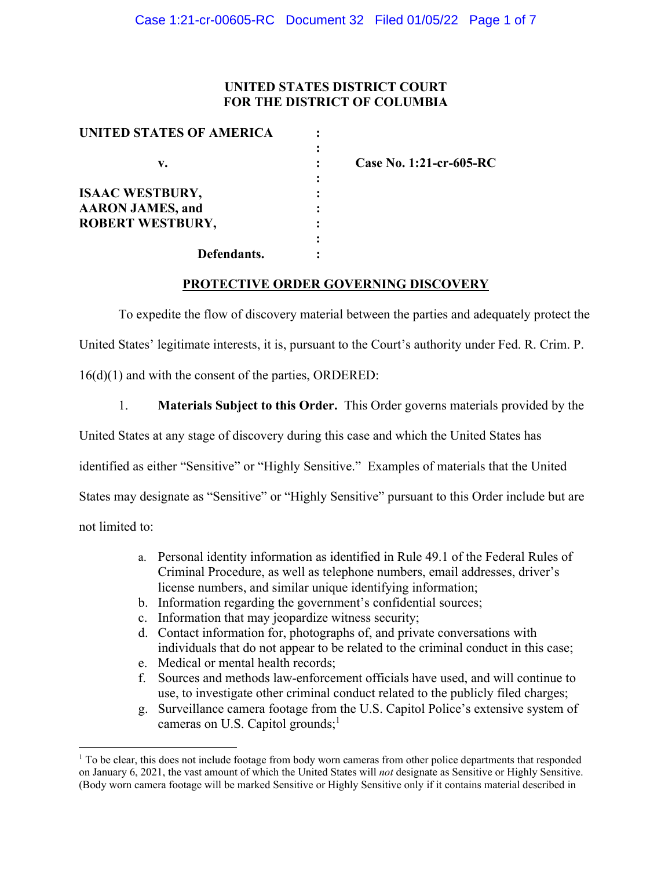### **UNITED STATES DISTRICT COURT FOR THE DISTRICT OF COLUMBIA**

| <b>UNITED STATES OF AMERICA</b> |  |
|---------------------------------|--|
|                                 |  |
| v.                              |  |
|                                 |  |
| <b>ISAAC WESTBURY,</b>          |  |
| <b>AARON JAMES, and</b>         |  |
| <b>ROBERT WESTBURY,</b>         |  |
|                                 |  |
| Defendants.                     |  |

**v. : Case No. 1:21-cr-605-RC** 

### **PROTECTIVE ORDER GOVERNING DISCOVERY**

To expedite the flow of discovery material between the parties and adequately protect the United States' legitimate interests, it is, pursuant to the Court's authority under Fed. R. Crim. P. 16(d)(1) and with the consent of the parties, ORDERED:

1. **Materials Subject to this Order.** This Order governs materials provided by the

United States at any stage of discovery during this case and which the United States has

identified as either "Sensitive" or "Highly Sensitive." Examples of materials that the United

States may designate as "Sensitive" or "Highly Sensitive" pursuant to this Order include but are

not limited to:

- a. Personal identity information as identified in Rule 49.1 of the Federal Rules of Criminal Procedure, as well as telephone numbers, email addresses, driver's license numbers, and similar unique identifying information;
- b. Information regarding the government's confidential sources;
- c. Information that may jeopardize witness security;
- d. Contact information for, photographs of, and private conversations with individuals that do not appear to be related to the criminal conduct in this case;
- e. Medical or mental health records;
- f. Sources and methods law-enforcement officials have used, and will continue to use, to investigate other criminal conduct related to the publicly filed charges;
- g. Surveillance camera footage from the U.S. Capitol Police's extensive system of cameras on U.S. Capitol grounds;<sup>1</sup>

<sup>&</sup>lt;sup>1</sup> To be clear, this does not include footage from body worn cameras from other police departments that responded on January 6, 2021, the vast amount of which the United States will *not* designate as Sensitive or Highly Sensitive. (Body worn camera footage will be marked Sensitive or Highly Sensitive only if it contains material described in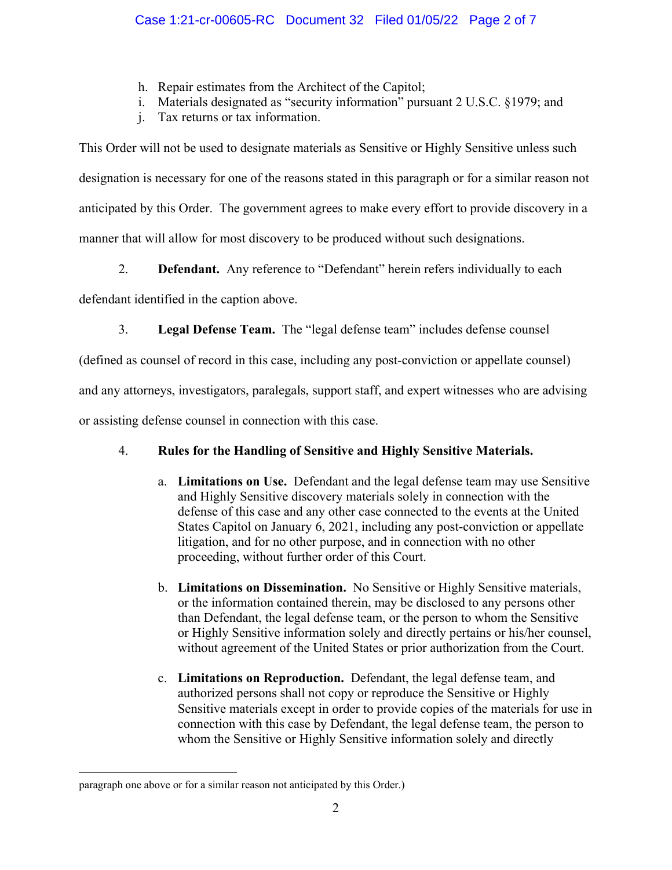- h. Repair estimates from the Architect of the Capitol;
- i. Materials designated as "security information" pursuant 2 U.S.C. §1979; and
- j. Tax returns or tax information.

This Order will not be used to designate materials as Sensitive or Highly Sensitive unless such designation is necessary for one of the reasons stated in this paragraph or for a similar reason not anticipated by this Order. The government agrees to make every effort to provide discovery in a manner that will allow for most discovery to be produced without such designations.

2. **Defendant.** Any reference to "Defendant" herein refers individually to each

defendant identified in the caption above.

3. **Legal Defense Team.** The "legal defense team" includes defense counsel

(defined as counsel of record in this case, including any post-conviction or appellate counsel)

and any attorneys, investigators, paralegals, support staff, and expert witnesses who are advising

or assisting defense counsel in connection with this case.

# 4. **Rules for the Handling of Sensitive and Highly Sensitive Materials.**

- a. **Limitations on Use.** Defendant and the legal defense team may use Sensitive and Highly Sensitive discovery materials solely in connection with the defense of this case and any other case connected to the events at the United States Capitol on January 6, 2021, including any post-conviction or appellate litigation, and for no other purpose, and in connection with no other proceeding, without further order of this Court.
- b. **Limitations on Dissemination.** No Sensitive or Highly Sensitive materials, or the information contained therein, may be disclosed to any persons other than Defendant, the legal defense team, or the person to whom the Sensitive or Highly Sensitive information solely and directly pertains or his/her counsel, without agreement of the United States or prior authorization from the Court.
- c. **Limitations on Reproduction.** Defendant, the legal defense team, and authorized persons shall not copy or reproduce the Sensitive or Highly Sensitive materials except in order to provide copies of the materials for use in connection with this case by Defendant, the legal defense team, the person to whom the Sensitive or Highly Sensitive information solely and directly

paragraph one above or for a similar reason not anticipated by this Order.)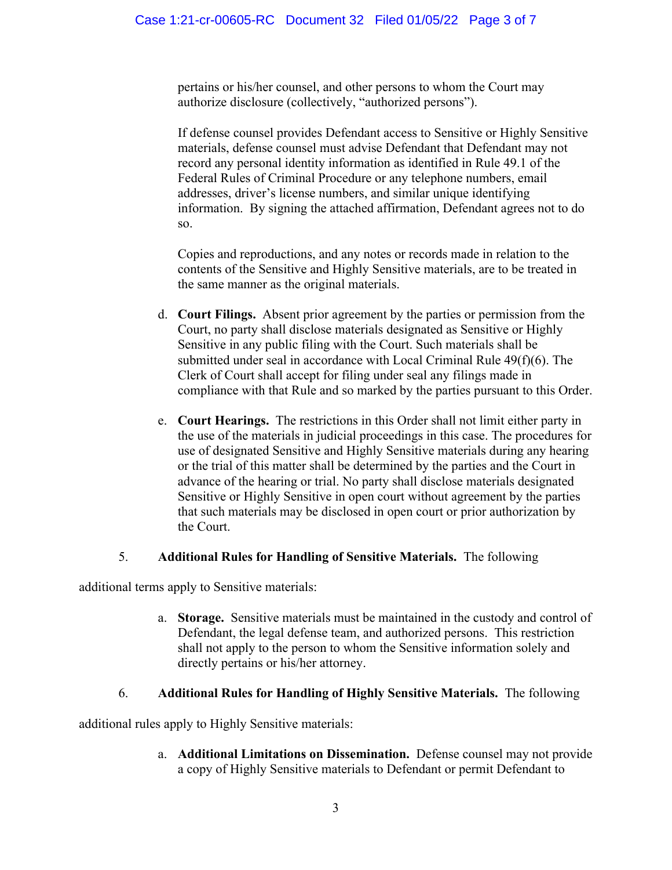pertains or his/her counsel, and other persons to whom the Court may authorize disclosure (collectively, "authorized persons").

If defense counsel provides Defendant access to Sensitive or Highly Sensitive materials, defense counsel must advise Defendant that Defendant may not record any personal identity information as identified in Rule 49.1 of the Federal Rules of Criminal Procedure or any telephone numbers, email addresses, driver's license numbers, and similar unique identifying information. By signing the attached affirmation, Defendant agrees not to do so.

Copies and reproductions, and any notes or records made in relation to the contents of the Sensitive and Highly Sensitive materials, are to be treated in the same manner as the original materials.

- d. **Court Filings.** Absent prior agreement by the parties or permission from the Court, no party shall disclose materials designated as Sensitive or Highly Sensitive in any public filing with the Court. Such materials shall be submitted under seal in accordance with Local Criminal Rule 49(f)(6). The Clerk of Court shall accept for filing under seal any filings made in compliance with that Rule and so marked by the parties pursuant to this Order.
- e. **Court Hearings.** The restrictions in this Order shall not limit either party in the use of the materials in judicial proceedings in this case. The procedures for use of designated Sensitive and Highly Sensitive materials during any hearing or the trial of this matter shall be determined by the parties and the Court in advance of the hearing or trial. No party shall disclose materials designated Sensitive or Highly Sensitive in open court without agreement by the parties that such materials may be disclosed in open court or prior authorization by the Court.

## 5. **Additional Rules for Handling of Sensitive Materials.** The following

additional terms apply to Sensitive materials:

a. **Storage.** Sensitive materials must be maintained in the custody and control of Defendant, the legal defense team, and authorized persons. This restriction shall not apply to the person to whom the Sensitive information solely and directly pertains or his/her attorney.

## 6. **Additional Rules for Handling of Highly Sensitive Materials.** The following

additional rules apply to Highly Sensitive materials:

a. **Additional Limitations on Dissemination.** Defense counsel may not provide a copy of Highly Sensitive materials to Defendant or permit Defendant to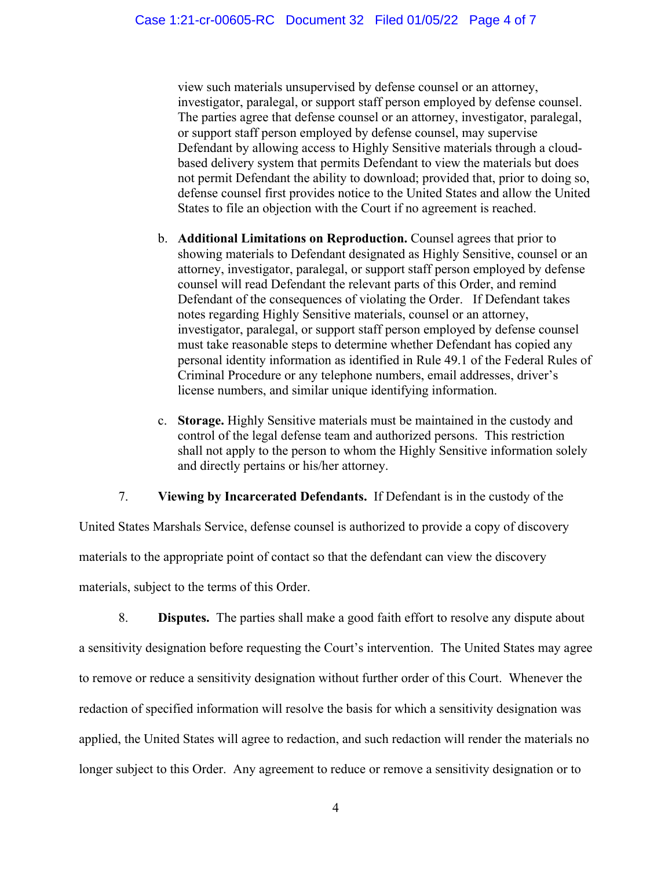view such materials unsupervised by defense counsel or an attorney, investigator, paralegal, or support staff person employed by defense counsel. The parties agree that defense counsel or an attorney, investigator, paralegal, or support staff person employed by defense counsel, may supervise Defendant by allowing access to Highly Sensitive materials through a cloudbased delivery system that permits Defendant to view the materials but does not permit Defendant the ability to download; provided that, prior to doing so, defense counsel first provides notice to the United States and allow the United States to file an objection with the Court if no agreement is reached.

- b. **Additional Limitations on Reproduction.** Counsel agrees that prior to showing materials to Defendant designated as Highly Sensitive, counsel or an attorney, investigator, paralegal, or support staff person employed by defense counsel will read Defendant the relevant parts of this Order, and remind Defendant of the consequences of violating the Order. If Defendant takes notes regarding Highly Sensitive materials, counsel or an attorney, investigator, paralegal, or support staff person employed by defense counsel must take reasonable steps to determine whether Defendant has copied any personal identity information as identified in Rule 49.1 of the Federal Rules of Criminal Procedure or any telephone numbers, email addresses, driver's license numbers, and similar unique identifying information.
- c. **Storage.** Highly Sensitive materials must be maintained in the custody and control of the legal defense team and authorized persons. This restriction shall not apply to the person to whom the Highly Sensitive information solely and directly pertains or his/her attorney.

## 7. **Viewing by Incarcerated Defendants.** If Defendant is in the custody of the

United States Marshals Service, defense counsel is authorized to provide a copy of discovery materials to the appropriate point of contact so that the defendant can view the discovery materials, subject to the terms of this Order.

8. **Disputes.** The parties shall make a good faith effort to resolve any dispute about a sensitivity designation before requesting the Court's intervention. The United States may agree to remove or reduce a sensitivity designation without further order of this Court. Whenever the redaction of specified information will resolve the basis for which a sensitivity designation was applied, the United States will agree to redaction, and such redaction will render the materials no longer subject to this Order. Any agreement to reduce or remove a sensitivity designation or to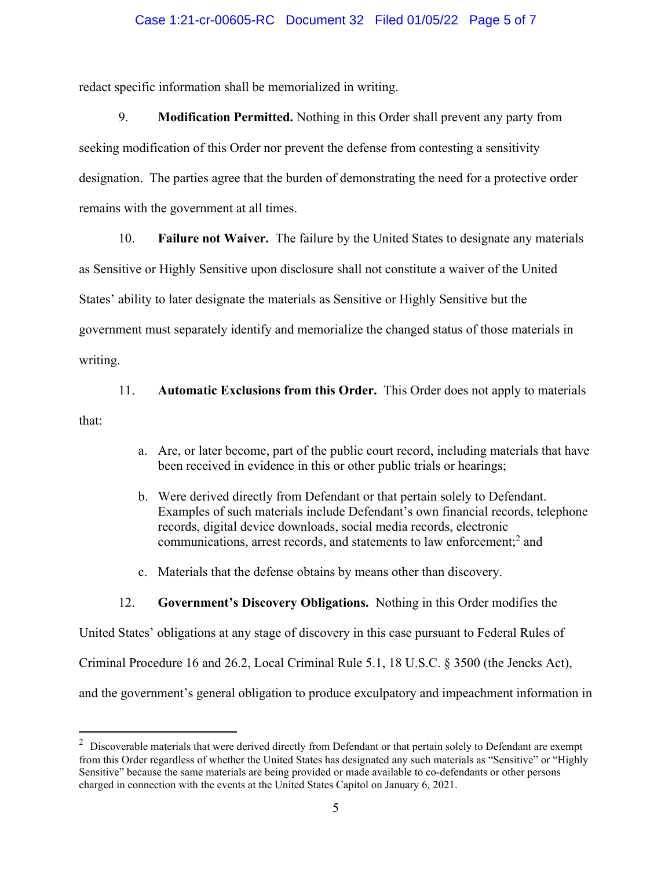#### Case 1:21-cr-00605-RC Document 32 Filed 01/05/22 Page 5 of 7

redact specific information shall be memorialized in writing.

9. **Modification Permitted.** Nothing in this Order shall prevent any party from seeking modification of this Order nor prevent the defense from contesting a sensitivity designation. The parties agree that the burden of demonstrating the need for a protective order remains with the government at all times.

10. **Failure not Waiver.** The failure by the United States to designate any materials

as Sensitive or Highly Sensitive upon disclosure shall not constitute a waiver of the United

States' ability to later designate the materials as Sensitive or Highly Sensitive but the

government must separately identify and memorialize the changed status of those materials in

writing.

11. **Automatic Exclusions from this Order.** This Order does not apply to materials

that:

- a. Are, or later become, part of the public court record, including materials that have been received in evidence in this or other public trials or hearings;
- b. Were derived directly from Defendant or that pertain solely to Defendant. Examples of such materials include Defendant's own financial records, telephone records, digital device downloads, social media records, electronic communications, arrest records, and statements to law enforcement;<sup>2</sup> and
- c. Materials that the defense obtains by means other than discovery.

### 12. **Government's Discovery Obligations.** Nothing in this Order modifies the

United States' obligations at any stage of discovery in this case pursuant to Federal Rules of Criminal Procedure 16 and 26.2, Local Criminal Rule 5.1, 18 U.S.C. § 3500 (the Jencks Act), and the government's general obligation to produce exculpatory and impeachment information in

 $2$  Discoverable materials that were derived directly from Defendant or that pertain solely to Defendant are exempt from this Order regardless of whether the United States has designated any such materials as "Sensitive" or "Highly Sensitive" because the same materials are being provided or made available to co-defendants or other persons charged in connection with the events at the United States Capitol on January 6, 2021.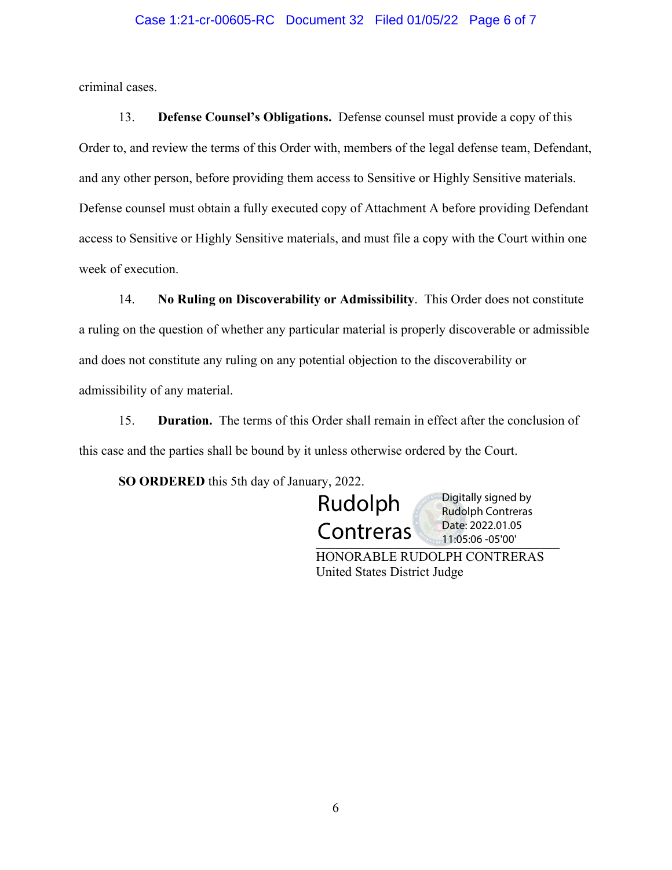#### Case 1:21-cr-00605-RC Document 32 Filed 01/05/22 Page 6 of 7

criminal cases.

13. **Defense Counsel's Obligations.** Defense counsel must provide a copy of this Order to, and review the terms of this Order with, members of the legal defense team, Defendant, and any other person, before providing them access to Sensitive or Highly Sensitive materials. Defense counsel must obtain a fully executed copy of Attachment A before providing Defendant access to Sensitive or Highly Sensitive materials, and must file a copy with the Court within one week of execution.

14. **No Ruling on Discoverability or Admissibility**. This Order does not constitute a ruling on the question of whether any particular material is properly discoverable or admissible and does not constitute any ruling on any potential objection to the discoverability or admissibility of any material.

15. **Duration.** The terms of this Order shall remain in effect after the conclusion of this case and the parties shall be bound by it unless otherwise ordered by the Court.

**SO ORDERED** this 5th day of January, 2022.

Rudolph **Contreras** 

 $C$ UTTLI $C$ TUS  $_{\sim}$  11:05:06 -05'00' Digitally signed by Rudolph Contreras Date: 2022.01.05

HONORABLE RUDOLPH CONTRERAS United States District Judge